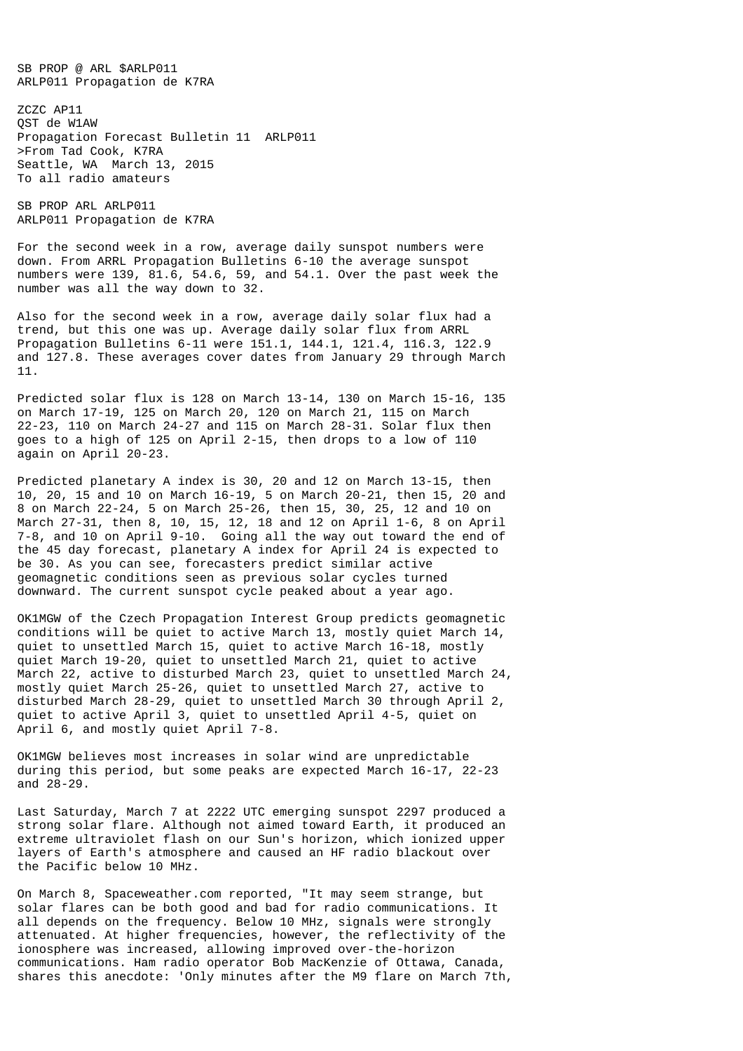SB PROP @ ARL \$ARLP011 ARLP011 Propagation de K7RA

ZCZC AP11 QST de W1AW Propagation Forecast Bulletin 11 ARLP011 >From Tad Cook, K7RA Seattle, WA March 13, 2015 To all radio amateurs

SB PROP ARL ARLP011 ARLP011 Propagation de K7RA

For the second week in a row, average daily sunspot numbers were down. From ARRL Propagation Bulletins 6-10 the average sunspot numbers were 139, 81.6, 54.6, 59, and 54.1. Over the past week the number was all the way down to 32.

Also for the second week in a row, average daily solar flux had a trend, but this one was up. Average daily solar flux from ARRL Propagation Bulletins 6-11 were 151.1, 144.1, 121.4, 116.3, 122.9 and 127.8. These averages cover dates from January 29 through March 11.

Predicted solar flux is 128 on March 13-14, 130 on March 15-16, 135 on March 17-19, 125 on March 20, 120 on March 21, 115 on March 22-23, 110 on March 24-27 and 115 on March 28-31. Solar flux then goes to a high of 125 on April 2-15, then drops to a low of 110 again on April 20-23.

Predicted planetary A index is 30, 20 and 12 on March 13-15, then 10, 20, 15 and 10 on March 16-19, 5 on March 20-21, then 15, 20 and 8 on March 22-24, 5 on March 25-26, then 15, 30, 25, 12 and 10 on March 27-31, then 8, 10, 15, 12, 18 and 12 on April 1-6, 8 on April 7-8, and 10 on April 9-10. Going all the way out toward the end of the 45 day forecast, planetary A index for April 24 is expected to be 30. As you can see, forecasters predict similar active geomagnetic conditions seen as previous solar cycles turned downward. The current sunspot cycle peaked about a year ago.

OK1MGW of the Czech Propagation Interest Group predicts geomagnetic conditions will be quiet to active March 13, mostly quiet March 14, quiet to unsettled March 15, quiet to active March 16-18, mostly quiet March 19-20, quiet to unsettled March 21, quiet to active March 22, active to disturbed March 23, quiet to unsettled March 24, mostly quiet March 25-26, quiet to unsettled March 27, active to disturbed March 28-29, quiet to unsettled March 30 through April 2, quiet to active April 3, quiet to unsettled April 4-5, quiet on April 6, and mostly quiet April 7-8.

OK1MGW believes most increases in solar wind are unpredictable during this period, but some peaks are expected March 16-17, 22-23 and 28-29.

Last Saturday, March 7 at 2222 UTC emerging sunspot 2297 produced a strong solar flare. Although not aimed toward Earth, it produced an extreme ultraviolet flash on our Sun's horizon, which ionized upper layers of Earth's atmosphere and caused an HF radio blackout over the Pacific below 10 MHz.

On March 8, Spaceweather.com reported, "It may seem strange, but solar flares can be both good and bad for radio communications. It all depends on the frequency. Below 10 MHz, signals were strongly attenuated. At higher frequencies, however, the reflectivity of the ionosphere was increased, allowing improved over-the-horizon communications. Ham radio operator Bob MacKenzie of Ottawa, Canada, shares this anecdote: 'Only minutes after the M9 flare on March 7th,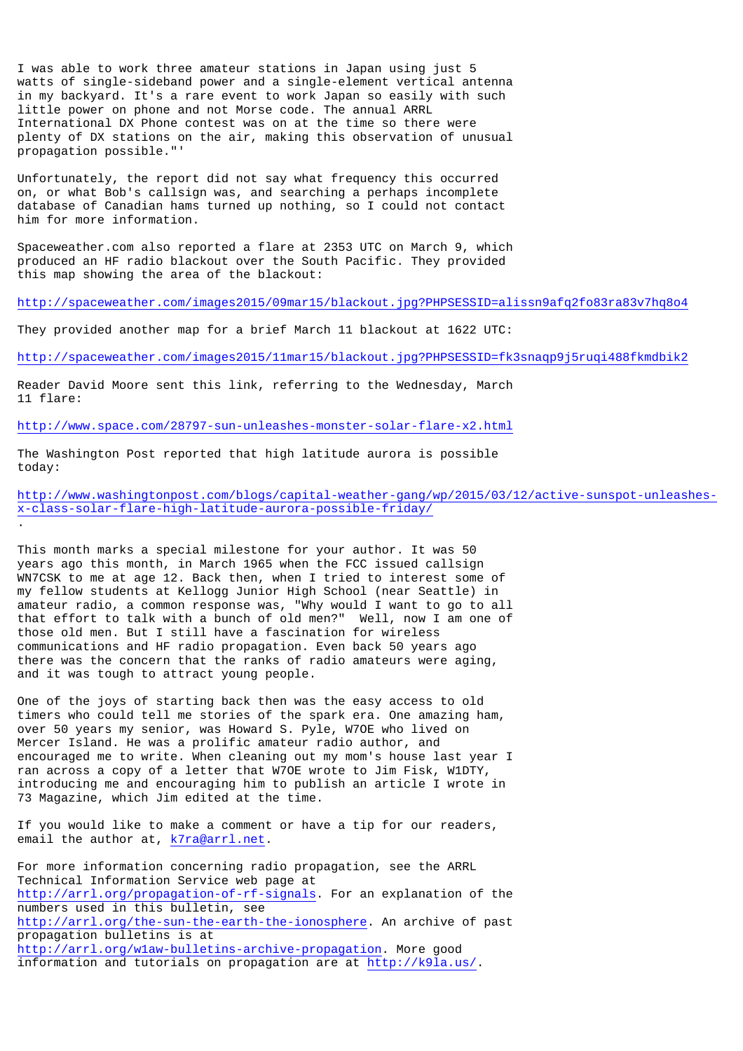I was able to work three amateur stations in Japan using just 5 watts of single-sideband power and a single-element vertical antenna in my backyard. It's a rare event to work Japan so easily with such little power on phone and not Morse code. The annual ARRL International DX Phone contest was on at the time so there were plenty of DX stations on the air, making this observation of unusual propagation possible."'

Unfortunately, the report did not say what frequency this occurred on, or what Bob's callsign was, and searching a perhaps incomplete database of Canadian hams turned up nothing, so I could not contact him for more information.

Spaceweather.com also reported a flare at 2353 UTC on March 9, which produced an HF radio blackout over the South Pacific. They provided this map showing the area of the blackout:

http://spaceweather.com/images2015/09mar15/blackout.jpg?PHPSESSID=alissn9afq2fo83ra83v7hq8o4

They provided another map for a brief March 11 blackout at 1622 UTC:

http://spaceweather.com/images2015/11mar15/blackout.jpg?PHPSESSID=fk3snaqp9j5ruqi488fkmdbik2

Reader David Moore sent this link, referring to the Wednesday, March 11 flare:

http://www.space.com/28797-sun-unleashes-monster-solar-flare-x2.html

The Washington Post reported that high latitude aurora is possible today:

.

http://www.washingtonpost.com/blogs/capital-weather-gang/wp/2015/03/12/active-sunspot-unleashesx-class-solar-flare-high-latitude-aurora-possible-friday/

This month marks a special milestone for your author. It was 50 years ago this month, in March 1965 when the FCC issued callsign WN7CSK to me at age 12. Back then, when I tried to interest some of my fellow students at Kellogg Junior High School (near Seattle) in amateur radio, a common response was, "Why would I want to go to all that effort to talk with a bunch of old men?" Well, now I am one of those old men. But I still have a fascination for wireless communications and HF radio propagation. Even back 50 years ago there was the concern that the ranks of radio amateurs were aging, and it was tough to attract young people.

One of the joys of starting back then was the easy access to old timers who could tell me stories of the spark era. One amazing ham, over 50 years my senior, was Howard S. Pyle, W7OE who lived on Mercer Island. He was a prolific amateur radio author, and encouraged me to write. When cleaning out my mom's house last year I ran across a copy of a letter that W7OE wrote to Jim Fisk, W1DTY, introducing me and encouraging him to publish an article I wrote in 73 Magazine, which Jim edited at the time.

If you would like to make a comment or have a tip for our readers, email the author at, k7ra@arrl.net.

For more information concerning radio propagation, see the ARRL Technical Information Service web page at http://arrl.org/propagation-of-rf-signals. For an explanation of the numbers used in this bulletin, see http://arrl.org/the-sun-the-earth-the-ionosphere. An archive of past propagation bulletins is at http://arrl.org/w1aw-bulletins-archive-propagation. More good information and tutorials on propagation are at http://k9la.us/.